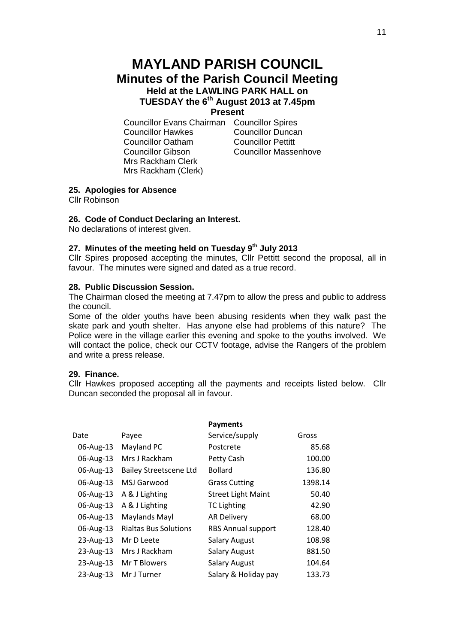# **MAYLAND PARISH COUNCIL Minutes of the Parish Council Meeting Held at the LAWLING PARK HALL on TUESDAY the 6th August 2013 at 7.45pm**

### **Present**

Councillor Evans Chairman Councillor Spires Councillor Hawkes Councillor Duncan Councillor Oatham Councillor Pettitt Councillor Gibson Councillor Massenhove Mrs Rackham Clerk Mrs Rackham (Clerk)

# **25. Apologies for Absence**

Cllr Robinson

#### **26. Code of Conduct Declaring an Interest.**

No declarations of interest given.

## **27. Minutes of the meeting held on Tuesday 9 th July 2013**

Cllr Spires proposed accepting the minutes, Cllr Pettitt second the proposal, all in favour. The minutes were signed and dated as a true record.

#### **28. Public Discussion Session.**

The Chairman closed the meeting at 7.47pm to allow the press and public to address the council.

Some of the older youths have been abusing residents when they walk past the skate park and youth shelter. Has anyone else had problems of this nature? The Police were in the village earlier this evening and spoke to the youths involved. We will contact the police, check our CCTV footage, advise the Rangers of the problem and write a press release.

## **29. Finance.**

Cllr Hawkes proposed accepting all the payments and receipts listed below. Cllr Duncan seconded the proposal all in favour.

|           |                               | <b>Payments</b>           |         |
|-----------|-------------------------------|---------------------------|---------|
| Date      | Payee                         | Service/supply            | Gross   |
| 06-Aug-13 | Mayland PC                    | Postcrete                 | 85.68   |
| 06-Aug-13 | Mrs J Rackham                 | Petty Cash                | 100.00  |
| 06-Aug-13 | <b>Bailey Streetscene Ltd</b> | <b>Bollard</b>            | 136.80  |
| 06-Aug-13 | <b>MSJ Garwood</b>            | <b>Grass Cutting</b>      | 1398.14 |
| 06-Aug-13 | A & J Lighting                | <b>Street Light Maint</b> | 50.40   |
| 06-Aug-13 | A & J Lighting                | <b>TC Lighting</b>        | 42.90   |
| 06-Aug-13 | Maylands Mayl                 | <b>AR Delivery</b>        | 68.00   |
| 06-Aug-13 | <b>Rialtas Bus Solutions</b>  | <b>RBS Annual support</b> | 128.40  |
| 23-Aug-13 | Mr D Leete                    | <b>Salary August</b>      | 108.98  |
| 23-Aug-13 | Mrs J Rackham                 | <b>Salary August</b>      | 881.50  |
| 23-Aug-13 | Mr T Blowers                  | <b>Salary August</b>      | 104.64  |
| 23-Aug-13 | Mr J Turner                   | Salary & Holiday pay      | 133.73  |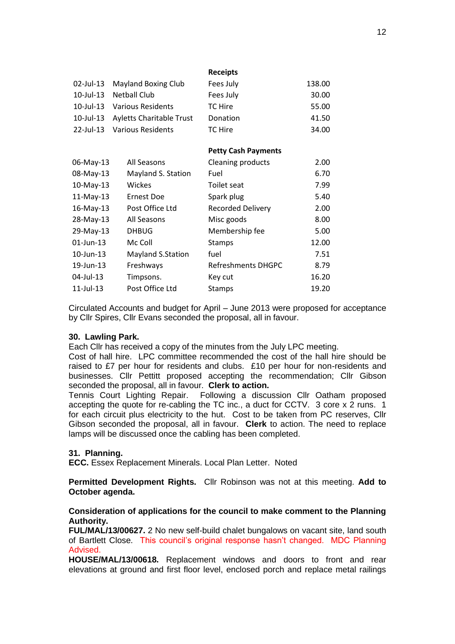|              |                                 | <b>Receipts</b>            |        |
|--------------|---------------------------------|----------------------------|--------|
| 02-Jul-13    | Mayland Boxing Club             | Fees July                  | 138.00 |
| 10-Jul-13    | <b>Netball Club</b>             | Fees July                  | 30.00  |
| 10-Jul-13    | <b>Various Residents</b>        | TC Hire                    | 55.00  |
| 10-Jul-13    | <b>Ayletts Charitable Trust</b> | Donation                   | 41.50  |
| 22-Jul-13    | <b>Various Residents</b>        | TC Hire                    | 34.00  |
|              |                                 |                            |        |
|              |                                 | <b>Petty Cash Payments</b> |        |
| 06-May-13    | All Seasons                     | Cleaning products          | 2.00   |
| 08-May-13    | Mayland S. Station              | Fuel                       | 6.70   |
| 10-May-13    | <b>Wickes</b>                   | Toilet seat                | 7.99   |
| $11-May-13$  | <b>Ernest Doe</b>               | Spark plug                 | 5.40   |
| 16-May-13    | Post Office Ltd                 | <b>Recorded Delivery</b>   | 2.00   |
| 28-May-13    | All Seasons                     | Misc goods                 | 8.00   |
| 29-May-13    | <b>DHBUG</b>                    | Membership fee             | 5.00   |
| $01$ -Jun-13 | Mc Coll                         | <b>Stamps</b>              | 12.00  |
| 10-Jun-13    | Mayland S.Station               | fuel                       | 7.51   |
| 19-Jun-13    | Freshways                       | <b>Refreshments DHGPC</b>  | 8.79   |
| 04-Jul-13    | Timpsons.                       | Key cut                    | 16.20  |
| $11$ -Jul-13 | Post Office Ltd                 | <b>Stamps</b>              | 19.20  |

Circulated Accounts and budget for April – June 2013 were proposed for acceptance by Cllr Spires, Cllr Evans seconded the proposal, all in favour.

#### **30. Lawling Park.**

Each Cllr has received a copy of the minutes from the July LPC meeting.

Cost of hall hire. LPC committee recommended the cost of the hall hire should be raised to £7 per hour for residents and clubs. £10 per hour for non-residents and businesses. Cllr Pettitt proposed accepting the recommendation; Cllr Gibson seconded the proposal, all in favour. **Clerk to action.**

Tennis Court Lighting Repair. Following a discussion Cllr Oatham proposed accepting the quote for re-cabling the TC inc., a duct for CCTV. 3 core x 2 runs. 1 for each circuit plus electricity to the hut. Cost to be taken from PC reserves, Cllr Gibson seconded the proposal, all in favour. **Clerk** to action. The need to replace lamps will be discussed once the cabling has been completed.

#### **31. Planning.**

**ECC.** Essex Replacement Minerals. Local Plan Letter. Noted

**Permitted Development Rights.** Cllr Robinson was not at this meeting. **Add to October agenda.**

#### **Consideration of applications for the council to make comment to the Planning Authority.**

**FUL/MAL/13/00627.** 2 No new self-build chalet bungalows on vacant site, land south of Bartlett Close. This council's original response hasn't changed. MDC Planning Advised.

**HOUSE/MAL/13/00618.** Replacement windows and doors to front and rear elevations at ground and first floor level, enclosed porch and replace metal railings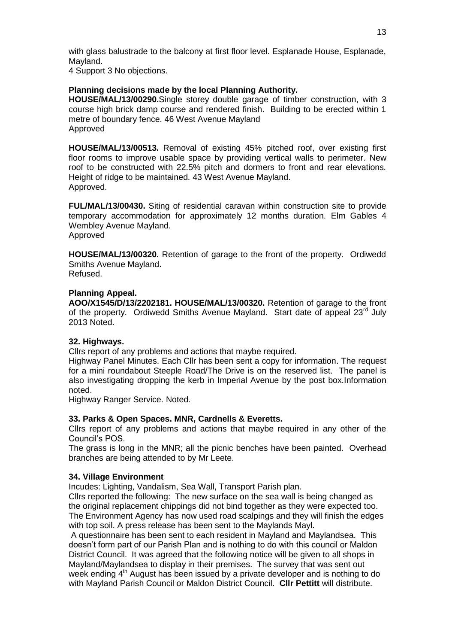with glass balustrade to the balcony at first floor level. Esplanade House, Esplanade, Mayland.

4 Support 3 No objections.

# **Planning decisions made by the local Planning Authority.**

**HOUSE/MAL/13/00290.**Single storey double garage of timber construction, with 3 course high brick damp course and rendered finish. Building to be erected within 1 metre of boundary fence. 46 West Avenue Mayland Approved

**HOUSE/MAL/13/00513.** Removal of existing 45% pitched roof, over existing first floor rooms to improve usable space by providing vertical walls to perimeter. New roof to be constructed with 22.5% pitch and dormers to front and rear elevations. Height of ridge to be maintained. 43 West Avenue Mayland. Approved.

**FUL/MAL/13/00430.** Siting of residential caravan within construction site to provide temporary accommodation for approximately 12 months duration. Elm Gables 4 Wembley Avenue Mayland. Approved

**HOUSE/MAL/13/00320.** Retention of garage to the front of the property. Ordiwedd Smiths Avenue Mayland. Refused.

## **Planning Appeal.**

**AOO/X1545/D/13/2202181. HOUSE/MAL/13/00320.** Retention of garage to the front of the property. Ordiwedd Smiths Avenue Mayland. Start date of appeal 23<sup>rd</sup> July 2013 Noted.

# **32. Highways.**

Cllrs report of any problems and actions that maybe required.

Highway Panel Minutes. Each Cllr has been sent a copy for information. The request for a mini roundabout Steeple Road/The Drive is on the reserved list. The panel is also investigating dropping the kerb in Imperial Avenue by the post box.Information noted.

Highway Ranger Service. Noted.

#### **33. Parks & Open Spaces. MNR, Cardnells & Everetts.**

Cllrs report of any problems and actions that maybe required in any other of the Council's POS.

The grass is long in the MNR; all the picnic benches have been painted. Overhead branches are being attended to by Mr Leete.

#### **34. Village Environment**

Incudes: Lighting, Vandalism, Sea Wall, Transport Parish plan.

Cllrs reported the following: The new surface on the sea wall is being changed as the original replacement chippings did not bind together as they were expected too. The Environment Agency has now used road scalpings and they will finish the edges with top soil. A press release has been sent to the Maylands Mayl.

A questionnaire has been sent to each resident in Mayland and Maylandsea. This doesn't form part of our Parish Plan and is nothing to do with this council or Maldon District Council. It was agreed that the following notice will be given to all shops in Mayland/Maylandsea to display in their premises. The survey that was sent out week ending 4<sup>th</sup> August has been issued by a private developer and is nothing to do with Mayland Parish Council or Maldon District Council. **Cllr Pettitt** will distribute.